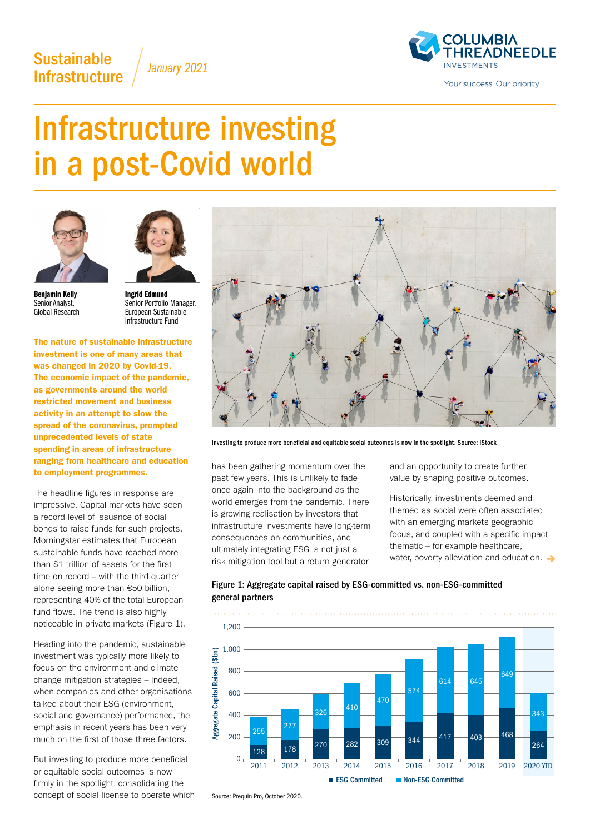# **Sustainable** Infrastructure *January 2021*



# Infrastructure investing in a post-Covid world





Benjamin Kelly Senior Analyst, Global Research

Ingrid Edmund Senior Portfolio Manager, European Sustainable Infrastructure Fund

The nature of sustainable infrastructure investment is one of many areas that was changed in 2020 by Covid-19. The economic impact of the pandemic, as governments around the world restricted movement and business activity in an attempt to slow the spread of the coronavirus, prompted unprecedented levels of state spending in areas of infrastructure ranging from healthcare and education to employment programmes.

The headline figures in response are impressive. Capital markets have seen a record level of issuance of social bonds to raise funds for such projects. Morningstar estimates that European sustainable funds have reached more than \$1 trillion of assets for the first time on record – with the third quarter alone seeing more than €50 billion, representing 40% of the total European fund flows. The trend is also highly noticeable in private markets (Figure 1).

Heading into the pandemic, sustainable investment was typically more likely to focus on the environment and climate change mitigation strategies – indeed, when companies and other organisations talked about their ESG (environment, social and governance) performance, the emphasis in recent years has been very much on the first of those three factors.

But investing to produce more beneficial or equitable social outcomes is now firmly in the spotlight, consolidating the concept of social license to operate which



Investing to produce more beneficial and equitable social outcomes is now in the spotlight. Source: iStock

has been gathering momentum over the past few years. This is unlikely to fade once again into the background as the world emerges from the pandemic. There is growing realisation by investors that infrastructure investments have long-term consequences on communities, and ultimately integrating ESG is not just a risk mitigation tool but a return generator

and an opportunity to create further value by shaping positive outcomes.

Historically, investments deemed and themed as social were often associated with an emerging markets geographic focus, and coupled with a specific impact thematic – for example healthcare, water, poverty alleviation and education.  $\rightarrow$ 



### Figure 1: Aggregate capital raised by ESG-committed vs. non-ESG-committed general partners

Source: Prequin Pro, October 2020.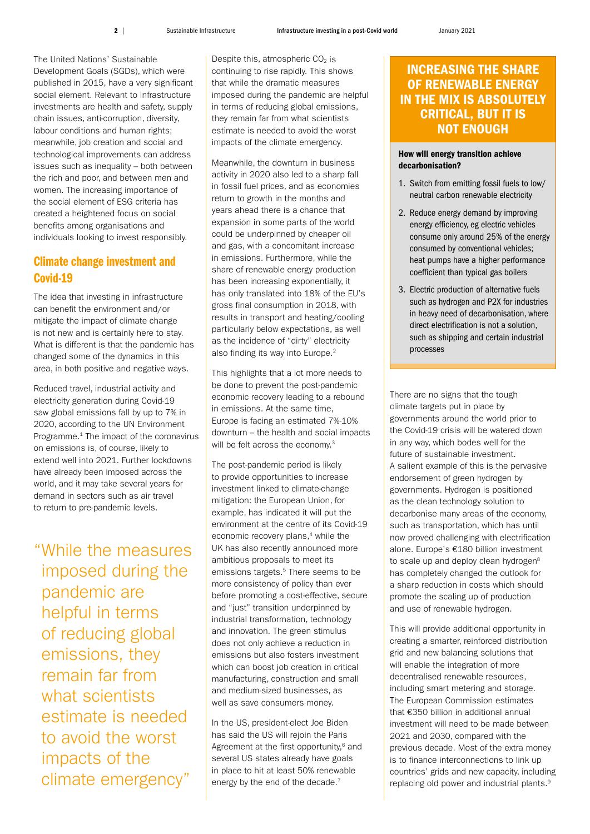The United Nations' Sustainable Development Goals (SGDs), which were published in 2015, have a very significant social element. Relevant to infrastructure investments are health and safety, supply chain issues, anti-corruption, diversity, labour conditions and human rights; meanwhile, job creation and social and technological improvements can address issues such as inequality – both between the rich and poor, and between men and women. The increasing importance of the social element of ESG criteria has created a heightened focus on social benefits among organisations and individuals looking to invest responsibly.

## Climate change investment and Covid-19

The idea that investing in infrastructure can benefit the environment and/or mitigate the impact of climate change is not new and is certainly here to stay. What is different is that the pandemic has changed some of the dynamics in this area, in both positive and negative ways.

Reduced travel, industrial activity and electricity generation during Covid-19 saw global emissions fall by up to 7% in 2020, according to the UN Environment Programme.<sup>1</sup> The impact of the coronavirus on emissions is, of course, likely to extend well into 2021. Further lockdowns have already been imposed across the world, and it may take several years for demand in sectors such as air travel to return to pre-pandemic levels.

"While the measures imposed during the pandemic are helpful in terms of reducing global emissions, they remain far from what scientists estimate is needed to avoid the worst impacts of the climate emergency"

Despite this, atmospheric  $CO<sub>2</sub>$  is continuing to rise rapidly. This shows that while the dramatic measures imposed during the pandemic are helpful in terms of reducing global emissions, they remain far from what scientists estimate is needed to avoid the worst impacts of the climate emergency.

Meanwhile, the downturn in business activity in 2020 also led to a sharp fall in fossil fuel prices, and as economies return to growth in the months and years ahead there is a chance that expansion in some parts of the world could be underpinned by cheaper oil and gas, with a concomitant increase in emissions. Furthermore, while the share of renewable energy production has been increasing exponentially, it has only translated into 18% of the EU's gross final consumption in 2018, with results in transport and heating/cooling particularly below expectations, as well as the incidence of "dirty" electricity also finding its way into Europe.<sup>2</sup>

This highlights that a lot more needs to be done to prevent the post-pandemic economic recovery leading to a rebound in emissions. At the same time, Europe is facing an estimated 7%-10% downturn – the health and social impacts will be felt across the economy.<sup>3</sup>

The post-pandemic period is likely to provide opportunities to increase investment linked to climate-change mitigation: the European Union, for example, has indicated it will put the environment at the centre of its Covid-19 economic recovery plans,<sup>4</sup> while the UK has also recently announced more ambitious proposals to meet its emissions targets.<sup>5</sup> There seems to be more consistency of policy than ever before promoting a cost-effective, secure and "just" transition underpinned by industrial transformation, technology and innovation. The green stimulus does not only achieve a reduction in emissions but also fosters investment which can boost job creation in critical manufacturing, construction and small and medium-sized businesses, as well as save consumers money.

In the US, president-elect Joe Biden has said the US will rejoin the Paris Agreement at the first opportunity, $6$  and several US states already have goals in place to hit at least 50% renewable energy by the end of the decade.<sup>7</sup>

# INCREASING THE SHARE OF RENEWABLE ENERGY IN THE MIX IS ABSOLUTELY CRITICAL, BUT IT IS NOT ENOUGH

#### How will energy transition achieve decarbonisation?

- 1. Switch from emitting fossil fuels to low/ neutral carbon renewable electricity
- 2. Reduce energy demand by improving energy efficiency, eg electric vehicles consume only around 25% of the energy consumed by conventional vehicles; heat pumps have a higher performance coefficient than typical gas boilers
- 3. Electric production of alternative fuels such as hydrogen and P2X for industries in heavy need of decarbonisation, where direct electrification is not a solution, such as shipping and certain industrial processes

There are no signs that the tough climate targets put in place by governments around the world prior to the Covid-19 crisis will be watered down in any way, which bodes well for the future of sustainable investment. A salient example of this is the pervasive endorsement of green hydrogen by governments. Hydrogen is positioned as the clean technology solution to decarbonise many areas of the economy, such as transportation, which has until now proved challenging with electrification alone. Europe's €180 billion investment to scale up and deploy clean hydrogen<sup>8</sup> has completely changed the outlook for a sharp reduction in costs which should promote the scaling up of production and use of renewable hydrogen.

This will provide additional opportunity in creating a smarter, reinforced distribution grid and new balancing solutions that will enable the integration of more decentralised renewable resources, including smart metering and storage. The European Commission estimates that €350 billion in additional annual investment will need to be made between 2021 and 2030, compared with the previous decade. Most of the extra money is to finance interconnections to link up countries' grids and new capacity, including replacing old power and industrial plants.9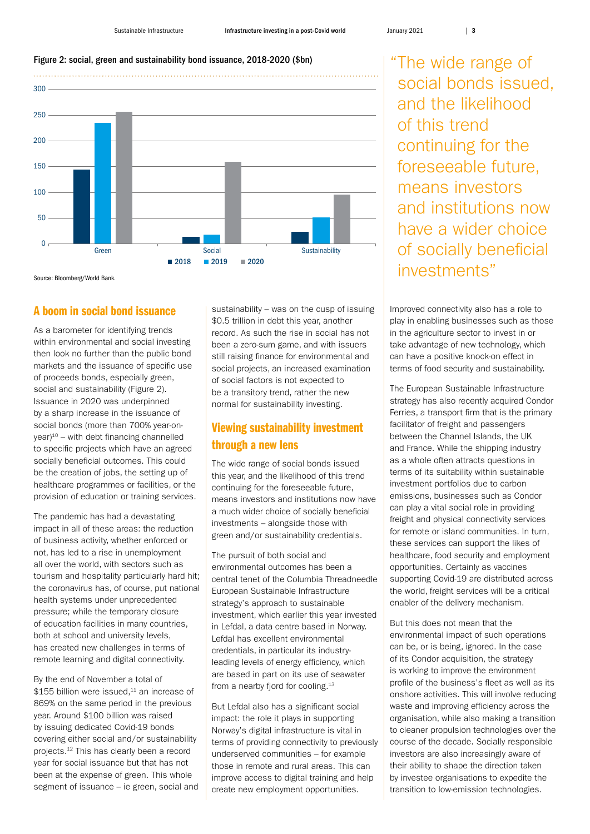#### Figure 2: social, green and sustainability bond issuance, 2018-2020 (\$bn)



Source: Bloomberg/World Bank.

#### A boom in social bond issuance

As a barometer for identifying trends within environmental and social investing then look no further than the public bond markets and the issuance of specific use of proceeds bonds, especially green, social and sustainability (Figure 2). Issuance in 2020 was underpinned by a sharp increase in the issuance of social bonds (more than 700% year-on $year)^10$  – with debt financing channelled to specific projects which have an agreed socially beneficial outcomes. This could be the creation of jobs, the setting up of healthcare programmes or facilities, or the provision of education or training services.

The pandemic has had a devastating impact in all of these areas: the reduction of business activity, whether enforced or not, has led to a rise in unemployment all over the world, with sectors such as tourism and hospitality particularly hard hit; the coronavirus has, of course, put national health systems under unprecedented pressure; while the temporary closure of education facilities in many countries, both at school and university levels, has created new challenges in terms of remote learning and digital connectivity.

By the end of November a total of  $$155$  billion were issued.<sup>11</sup> an increase of 869% on the same period in the previous year. Around \$100 billion was raised by issuing dedicated Covid-19 bonds covering either social and/or sustainability projects.12 This has clearly been a record year for social issuance but that has not been at the expense of green. This whole segment of issuance – ie green, social and

sustainability – was on the cusp of issuing \$0.5 trillion in debt this year, another record. As such the rise in social has not been a zero-sum game, and with issuers still raising finance for environmental and social projects, an increased examination of social factors is not expected to be a transitory trend, rather the new normal for sustainability investing.

## Viewing sustainability investment through a new lens

The wide range of social bonds issued this year, and the likelihood of this trend continuing for the foreseeable future, means investors and institutions now have a much wider choice of socially beneficial investments – alongside those with green and/or sustainability credentials.

The pursuit of both social and environmental outcomes has been a central tenet of the Columbia Threadneedle European Sustainable Infrastructure strategy's approach to sustainable investment, which earlier this year invested in Lefdal, a data centre based in Norway. Lefdal has excellent environmental credentials, in particular its industryleading levels of energy efficiency, which are based in part on its use of seawater from a nearby fjord for cooling.<sup>13</sup>

But Lefdal also has a significant social impact: the role it plays in supporting Norway's digital infrastructure is vital in terms of providing connectivity to previously underserved communities – for example those in remote and rural areas. This can improve access to digital training and help create new employment opportunities.

"The wide range of social bonds issued, and the likelihood of this trend continuing for the foreseeable future, means investors and institutions now have a wider choice of socially beneficial investments"

Improved connectivity also has a role to play in enabling businesses such as those in the agriculture sector to invest in or take advantage of new technology, which can have a positive knock-on effect in terms of food security and sustainability.

The European Sustainable Infrastructure strategy has also recently acquired Condor Ferries, a transport firm that is the primary facilitator of freight and passengers between the Channel Islands, the UK and France. While the shipping industry as a whole often attracts questions in terms of its suitability within sustainable investment portfolios due to carbon emissions, businesses such as Condor can play a vital social role in providing freight and physical connectivity services for remote or island communities. In turn, these services can support the likes of healthcare, food security and employment opportunities. Certainly as vaccines supporting Covid-19 are distributed across the world, freight services will be a critical enabler of the delivery mechanism.

But this does not mean that the environmental impact of such operations can be, or is being, ignored. In the case of its Condor acquisition, the strategy is working to improve the environment profile of the business's fleet as well as its onshore activities. This will involve reducing waste and improving efficiency across the organisation, while also making a transition to cleaner propulsion technologies over the course of the decade. Socially responsible investors are also increasingly aware of their ability to shape the direction taken by investee organisations to expedite the transition to low-emission technologies.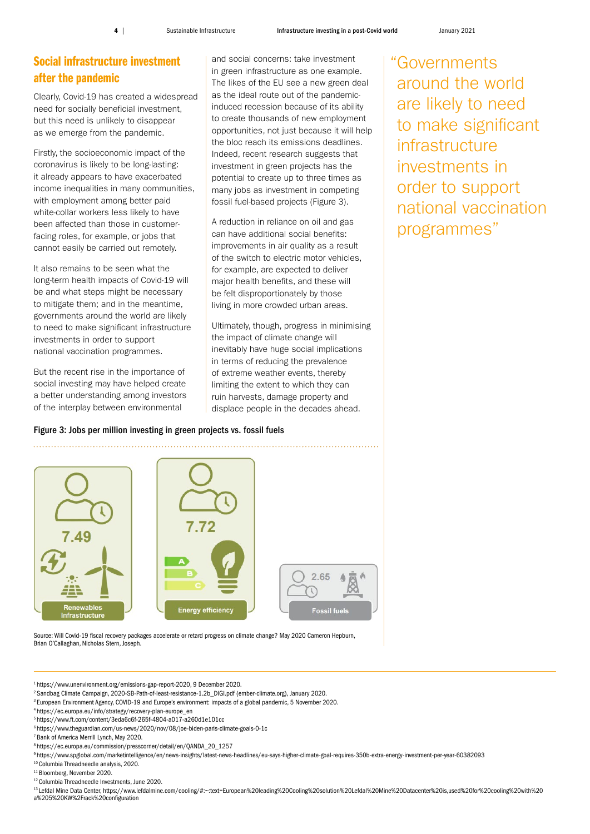# Social infrastructure investment after the pandemic

Clearly, Covid-19 has created a widespread need for socially beneficial investment, but this need is unlikely to disappear as we emerge from the pandemic.

Firstly, the socioeconomic impact of the coronavirus is likely to be long-lasting: it already appears to have exacerbated income inequalities in many communities, with employment among better paid white-collar workers less likely to have been affected than those in customerfacing roles, for example, or jobs that cannot easily be carried out remotely.

It also remains to be seen what the long-term health impacts of Covid-19 will be and what steps might be necessary to mitigate them; and in the meantime, governments around the world are likely to need to make significant infrastructure investments in order to support national vaccination programmes.

But the recent rise in the importance of social investing may have helped create a better understanding among investors of the interplay between environmental

and social concerns: take investment in green infrastructure as one example. The likes of the EU see a new green deal as the ideal route out of the pandemicinduced recession because of its ability to create thousands of new employment opportunities, not just because it will help the bloc reach its emissions deadlines. Indeed, recent research suggests that investment in green projects has the potential to create up to three times as many jobs as investment in competing fossil fuel-based projects (Figure 3).

A reduction in reliance on oil and gas can have additional social benefits: improvements in air quality as a result of the switch to electric motor vehicles, for example, are expected to deliver major health benefits, and these will be felt disproportionately by those living in more crowded urban areas.

Ultimately, though, progress in minimising the impact of climate change will inevitably have huge social implications in terms of reducing the prevalence of extreme weather events, thereby limiting the extent to which they can ruin harvests, damage property and displace people in the decades ahead.

"Governments around the world are likely to need to make significant infrastructure investments in order to support national vaccination programmes"

#### Figure 3: Jobs per million investing in green projects vs. fossil fuels



Source: Will Covid-19 fiscal recovery packages accelerate or retard progress on climate change? May 2020 Cameron Hepburn, Brian O'Callaghan, Nicholas Stern, Joseph.

1 [https://www.unenvironment.org/emissions-gap-report-2020,](https://www.unenvironment.org/emissions-gap-report-2020) 9 December 2020.

2 Sandbag Climate Campaign, 2020-SB-Path-of-least-resistance-1.2b\_DIGI.pdf (ember-climate.org), January 2020.

- <sup>3</sup> European Environment Agency, COVID-19 and Europe's environment: impacts of a global pandemic, 5 November 2020.
- 4 [https://ec.europa.eu/info/strategy/recovery-plan-europe\\_en](https://ec.europa.eu/info/strategy/recovery-plan-europe_en)
- 5<https://www.ft.com/content/3eda6c6f-265f-4804-a017-a260d1e101cc>
- 6<https://www.theguardian.com/us-news/2020/nov/08/joe-biden-paris-climate-goals-0-1c>
- 7 Bank of America Merrill Lynch, May 2020.
- 8 [https://ec.europa.eu/commission/presscorner/detail/en/QANDA\\_20\\_1257](https://ec.europa.eu/commission/presscorner/detail/en/QANDA_20_1257)
- 9<https://www.spglobal.com/marketintelligence/en/news-insights/latest-news-headlines/eu-says-higher-climate-goal-requires-350b-extra-energy-investment-per-year-60382093> 10 Columbia Threadneedle analysis, 2020.
- 11 Bloomberg, November 2020.
- 12 Columbia Threadneedle Investments, June 2020.

13 Lefdal Mine Data Center, [https://www.lefdalmine.com/cooling/#:~:text=European%20leading%20Cooling%20solution%20Lefdal%20Mine%20Datacenter%20is,used%20for%20cooling%20with%20](https://www.lefdalmine.com/cooling/#:~:text=European%20leading%20Cooling%20solution%20Lefdal%20Mine%20Datacenter%20is,used%20for%20cooling%20with%20a%205%20KW%2Frack%20configuration) [a%205%20KW%2Frack%20configuration](https://www.lefdalmine.com/cooling/#:~:text=European%20leading%20Cooling%20solution%20Lefdal%20Mine%20Datacenter%20is,used%20for%20cooling%20with%20a%205%20KW%2Frack%20configuration)